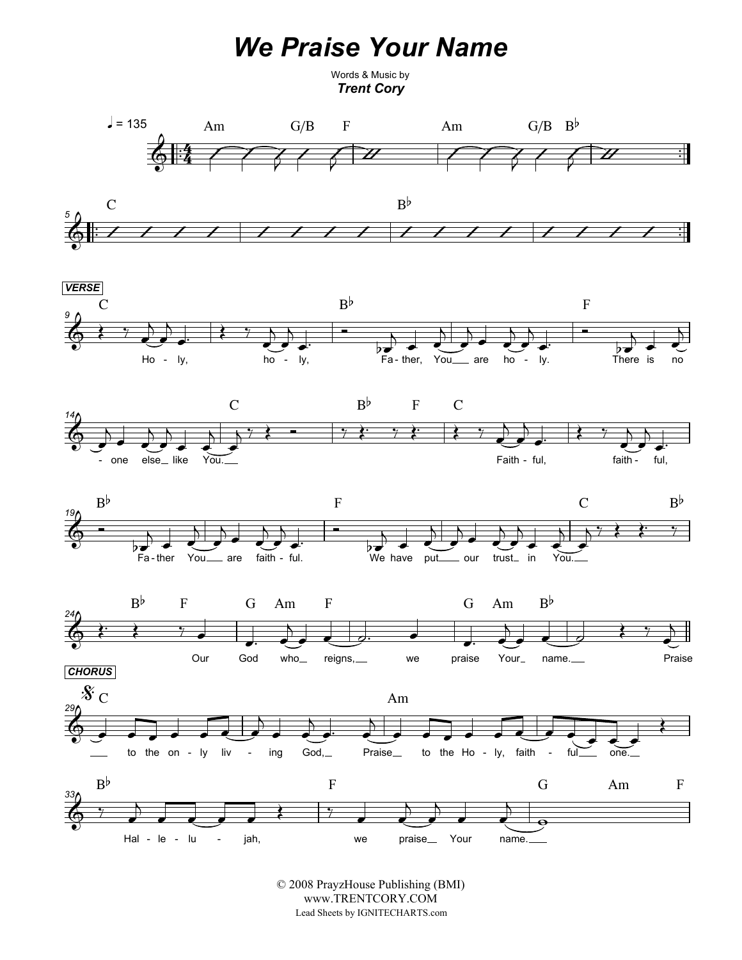## We Praise Your Name

Words & Music by Trent Cory













© 2008 PrayzHouse Publishing (BMI) www.TRENTCORY.COM Lead Sheets by IGNITECHARTS.com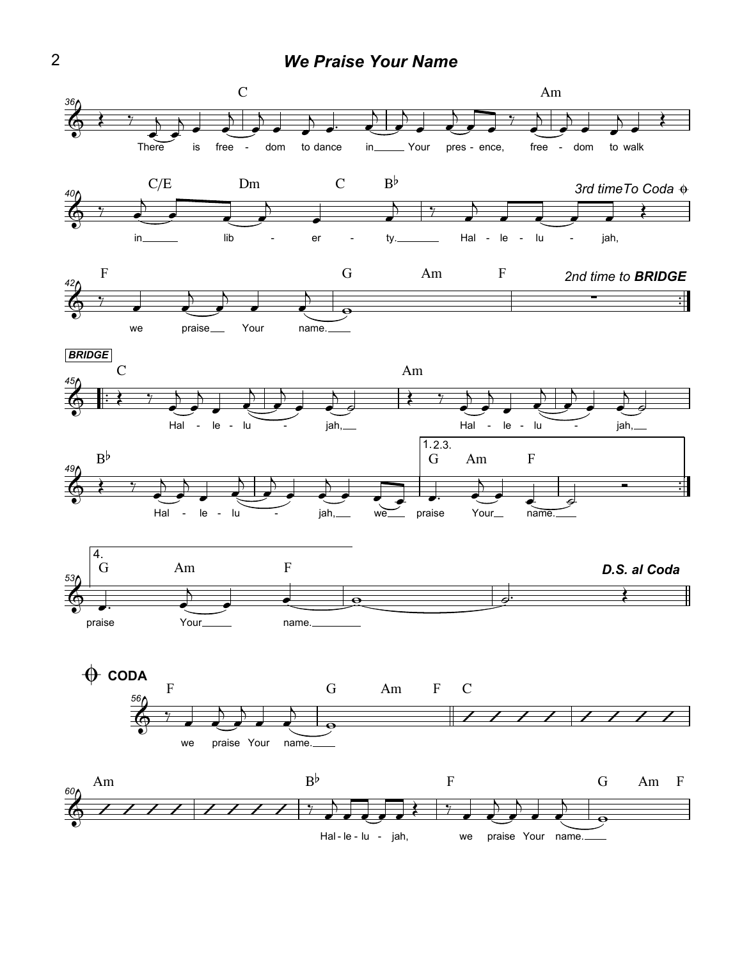